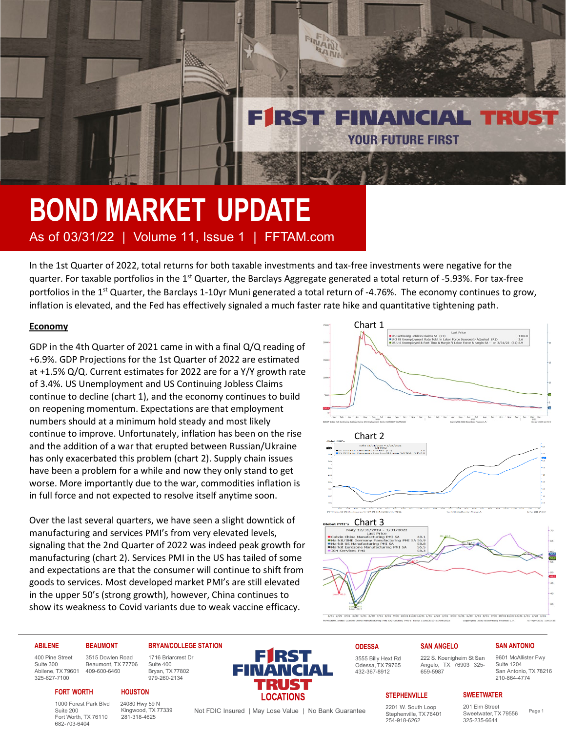## **BOND MARKET UPDATE** As of 03/31/22 | Volume 11, Issue 1 | FFTAM.com

In the 1st Quarter of 2022, total returns for both taxable investments and tax-free investments were negative for the quarter. For taxable portfolios in the 1<sup>st</sup> Quarter, the Barclays Aggregate generated a total return of -5.93%. For tax-free portfolios in the  $1<sup>st</sup>$  Quarter, the Barclays 1-10yr Muni generated a total return of -4.76%. The economy continues to grow, inflation is elevated, and the Fed has effectively signaled a much faster rate hike and quantitative tightening path.

FINANT RANK

RST FINANCIAL TRU

**YOUR FUTURE FIRST** 

### **Economy**

GDP in the 4th Quarter of 2021 came in with a final Q/Q reading of +6.9%. GDP Projections for the 1st Quarter of 2022 are estimated at +1.5% Q/Q. Current estimates for 2022 are for a Y/Y growth rate of 3.4%. US Unemployment and US Continuing Jobless Claims continue to decline (chart 1), and the economy continues to build on reopening momentum. Expectations are that employment numbers should at a minimum hold steady and most likely continue to improve. Unfortunately, inflation has been on the rise and the addition of a war that erupted between Russian/Ukraine has only exacerbated this problem (chart 2). Supply chain issues have been a problem for a while and now they only stand to get worse. More importantly due to the war, commodities inflation is in full force and not expected to resolve itself anytime soon.

Over the last several quarters, we have seen a slight downtick of manufacturing and services PMI's from very elevated levels, signaling that the 2nd Quarter of 2022 was indeed peak growth for manufacturing (chart 2). Services PMI in the US has tailed of some and expectations are that the consumer will continue to shift from goods to services. Most developed market PMI's are still elevated in the upper 50's (strong growth), however, China continues to show its weakness to Covid variants due to weak vaccine efficacy.



659-5987

#### **ABILENE**

400 Pine Street Suite 300 Abilene, TX 79601

#### **BRYAN/COLLEGE STATION** 1716 Briarcrest Dr

Suite 400 Bryan, TX 77802 979-260-2134

325-627-7100 3515 Dowlen Road Beaumont, TX 77706 409-600-6460

#### **FORT WORTH**

**BEAUMONT**

1000 Forest Park Blvd Suite 200 Fort Worth, TX 76110 682-703-6404

24080 Hwy 59 N Kingwood, TX 77339 281-318-4625

**HOUSTON**



Odessa, TX 79765 432-367-8912

**ODESSA** 3555 Billy Hext Rd **SAN ANGELO** 222 S. Koenigheim St San Angelo, TX 76903 325-

#### **SAN ANTONIO**

9601 McAllister Fwy Suite 1204 San Antonio, TX 78216 210-864-4774

#### **STEPHENVILLE**

2201 W. South Loop Stephenville, TX 76401 254-918-6262

201 Elm Street Sweetwater, TX 79556 325-235-6644

**SWEETWATER**

Not FDIC Insured | May Lose Value | No Bank Guarantee <br>
Stephenville TX 76401 2Neetwater TX 79556 Page 1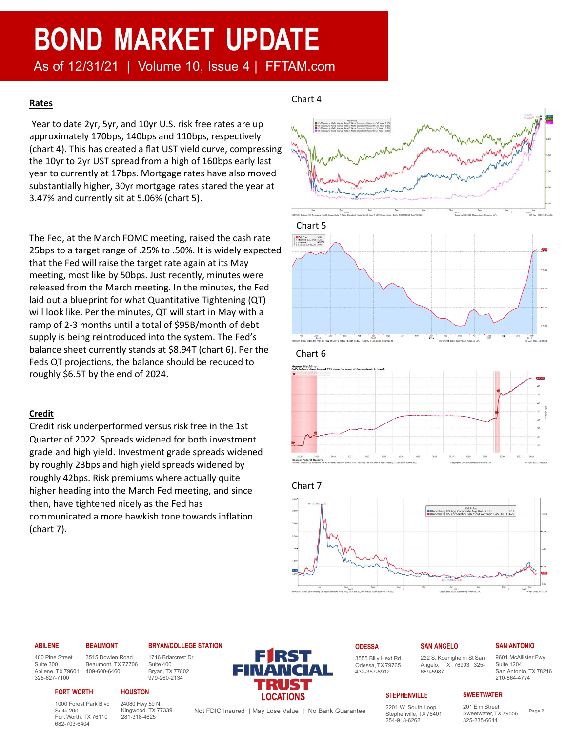## **BOND MARKET UPDATE**

As of 12/31/21 | Volume 10, Issue 4 | FFTAM.com

#### **Rates**

Year to date 2yr, 5yr, and 10yr U.S. risk free rates are up approximately 170bps, 140bps and 110bps, respectively (chart 4). This has created a flat UST yield curve, compressing the 10yr to 2yr UST spread from a high of 160bps early last year to currently at 17bps. Mortgage rates have also moved substantially higher, 30yr mortgage rates stared the year at 3.47% and currently sit at 5.06% (chart 5).

The Fed, at the March FOMC meeting, raised the cash rate 25bps to a target range of .25% to .50%. It is widely expected that the Fed will raise the target rate again at its May meeting, most like by 50bps. Just recently, minutes were released from the March meeting. In the minutes, the Fed laid out a blueprint for what Quantitative Tightening (QT) will look like. Per the minutes, QT will start in May with a ramp of 2-3 months until a total of \$95B/month of debt supply is being reintroduced into the system. The Fed's balance sheet currently stands at \$8.94T (chart 6). Per the Feds QT projections, the balance should be reduced to roughly \$6.5T by the end of 2024.

#### **Credit**

Credit risk underperformed versus risk free in the 1st Quarter of 2022. Spreads widened for both investment grade and high yield. Investment grade spreads widened by roughly 23bps and high yield spreads widened by roughly 42bps. Risk premiums where actually quite higher heading into the March Fed meeting, and since then, have tightened nicely as the Fed has communicated a more hawkish tone towards inflation (chart 7).

#### Chart 4





#### **ABILENE**

#### **BEAUMONT** 3515 Dowlen Road Beaumont, TX 77706

400 Pine Street Suite 300 Abilene, TX 79601 325-627-7100

#### **HOUSTON** 409-600-6460 **FORT WORTH**

1000 Forest Park Blvd Suite 200 Fort Worth, TX 76110 682-703-6404

24080 Hwy 59 N Kingwood, TX 77339 281-318-4625

**BRYAN/COLLEGE STATION** 1716 Briarcrest Dr Suite 400 Bryan, TX 77802 979-260-2134

**FIRST LOCATIONS** 

Not FDIC Insured | May Lose Value | No Bank Guarantee <br>Stephenville TX 76401 23 Superly 24556 Page 2

**ODESSA** 3555 Billy Hext Rd Odessa, TX 79765

432-367-8912

### **SAN ANGELO**

659-5987

222 S. Koenigheim St San Angelo, TX 76903 325- 9601 McAllister Fwy

**SWEETWATER**

#### **STEPHENVILLE**

2201 W. South Loop Stephenville, TX 76401 254-918-6262

Suite 1204 San Antonio, TX 78216 210-864-4774

**SAN ANTONIO**

## 201 Elm Street

Sweetwater, TX 79556 325-235-6644